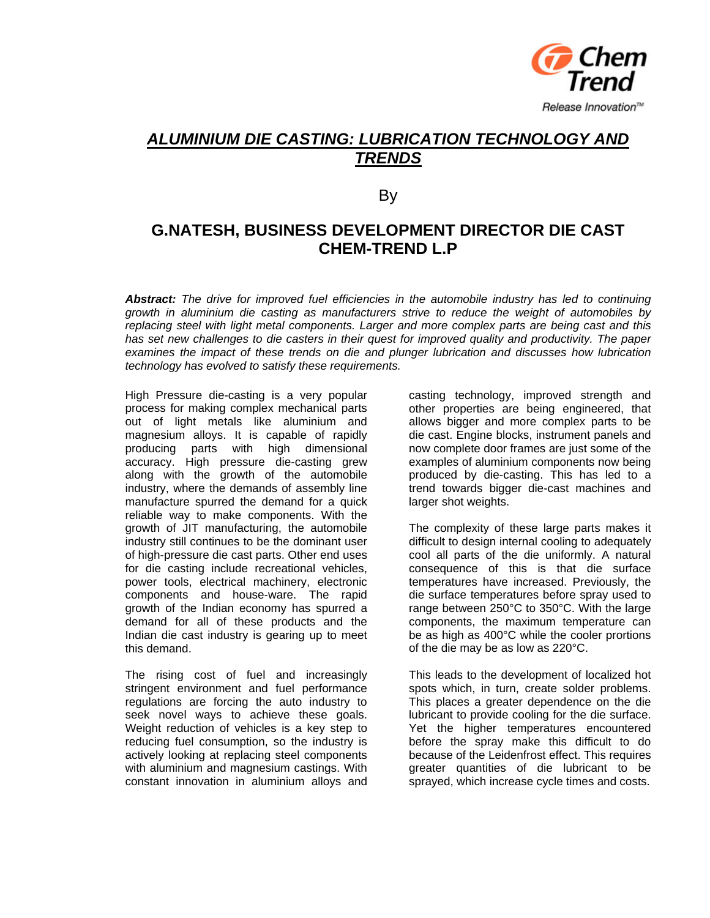

## *ALUMINIUM DIE CASTING: LUBRICATION TECHNOLOGY AND TRENDS*

By

### **G.NATESH, BUSINESS DEVELOPMENT DIRECTOR DIE CAST CHEM-TREND L.P**

*Abstract: The drive for improved fuel efficiencies in the automobile industry has led to continuing growth in aluminium die casting as manufacturers strive to reduce the weight of automobiles by replacing steel with light metal components. Larger and more complex parts are being cast and this has set new challenges to die casters in their quest for improved quality and productivity. The paper examines the impact of these trends on die and plunger lubrication and discusses how lubrication technology has evolved to satisfy these requirements.* 

High Pressure die-casting is a very popular process for making complex mechanical parts out of light metals like aluminium and magnesium alloys. It is capable of rapidly producing parts with high dimensional accuracy. High pressure die-casting grew along with the growth of the automobile industry, where the demands of assembly line manufacture spurred the demand for a quick reliable way to make components. With the growth of JIT manufacturing, the automobile industry still continues to be the dominant user of high-pressure die cast parts. Other end uses for die casting include recreational vehicles, power tools, electrical machinery, electronic components and house-ware. The rapid growth of the Indian economy has spurred a demand for all of these products and the Indian die cast industry is gearing up to meet this demand.

The rising cost of fuel and increasingly stringent environment and fuel performance regulations are forcing the auto industry to seek novel ways to achieve these goals. Weight reduction of vehicles is a key step to reducing fuel consumption, so the industry is actively looking at replacing steel components with aluminium and magnesium castings. With constant innovation in aluminium alloys and

casting technology, improved strength and other properties are being engineered, that allows bigger and more complex parts to be die cast. Engine blocks, instrument panels and now complete door frames are just some of the examples of aluminium components now being produced by die-casting. This has led to a trend towards bigger die-cast machines and larger shot weights.

The complexity of these large parts makes it difficult to design internal cooling to adequately cool all parts of the die uniformly. A natural consequence of this is that die surface temperatures have increased. Previously, the die surface temperatures before spray used to range between 250°C to 350°C. With the large components, the maximum temperature can be as high as 400°C while the cooler prortions of the die may be as low as 220°C.

This leads to the development of localized hot spots which, in turn, create solder problems. This places a greater dependence on the die lubricant to provide cooling for the die surface. Yet the higher temperatures encountered before the spray make this difficult to do because of the Leidenfrost effect. This requires greater quantities of die lubricant to be sprayed, which increase cycle times and costs.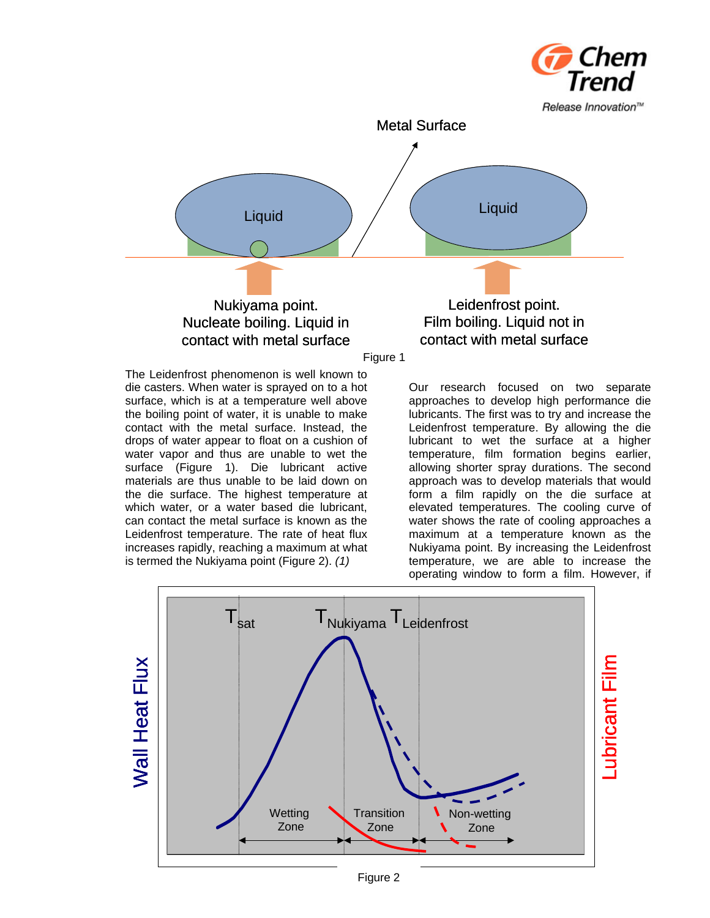

The Leidenfrost phenomenon is well known to die casters. When water is sprayed on to a hot surface, which is at a temperature well above the boiling point of water, it is unable to make contact with the metal surface. Instead, the drops of water appear to float on a cushion of water vapor and thus are unable to wet the surface (Figure 1). Die lubricant active materials are thus unable to be laid down on the die surface. The highest temperature at which water, or a water based die lubricant, can contact the metal surface is known as the Leidenfrost temperature. The rate of heat flux increases rapidly, reaching a maximum at what is termed the Nukiyama point (Figure 2). *(1)*

Our research focused on two separate operating window to form a film. However, if approaches to develop high performance die lubricants. The first was to try and increase the Leidenfrost temperature. By allowing the die lubricant to wet the surface at a higher temperature, film formation begins earlier, allowing shorter spray durations. The second approach was to develop materials that would form a film rapidly on the die surface at elevated temperatures. The cooling curve of water shows the rate of cooling approaches a maximum at a temperature known as the Nukiyama point. By increasing the Leidenfrost temperature, we are able to increase the



Figure 2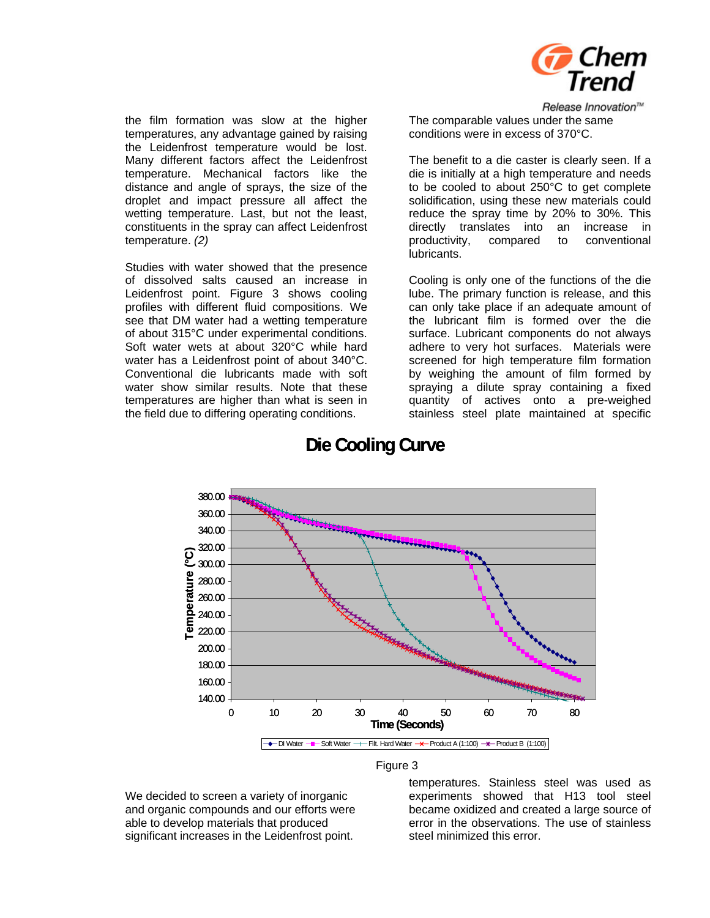

Release Innovation™

the film formation was slow at the higher temperatures, any advantage gained by raising the Leidenfrost temperature would be lost. Many different factors affect the Leidenfrost temperature. Mechanical factors like the distance and angle of sprays, the size of the droplet and impact pressure all affect the wetting temperature. Last, but not the least, constituents in the spray can affect Leidenfrost temperature. *(2)*

Studies with water showed that the presence of dissolved salts caused an increase in Leidenfrost point. Figure 3 shows cooling profiles with different fluid compositions. We see that DM water had a wetting temperature of about 315°C under experimental conditions. Soft water wets at about 320°C while hard water has a Leidenfrost point of about 340°C. Conventional die lubricants made with soft water show similar results. Note that these temperatures are higher than what is seen in the field due to differing operating conditions.

The comparable values under the same conditions were in excess of 370°C.

The benefit to a die caster is clearly seen. If a die is initially at a high temperature and needs to be cooled to about  $250^{\circ}$ C to get complete solidification, using these new materials could reduce the spray time by 20% to 30%. This directly translates into an increase in productivity, compared to conventional lubricants.

can only take place if an adequate amount of the lubricant film is formed over the die Cooling is only one of the functions of the die lube. The primary function is release, and this surface. Lubricant components do not always adhere to very hot surfaces. Materials were screened for high temperature film formation by weighing the amount of film formed by spraying a dilute spray containing a fixed quantity of actives onto a pre-weighed stainless steel plate maintained at specific



## **Die Cooling Curve**

Figure 3

able to develop materials that produced significant increases in the Leidenfrost point. and organic compounds and our efforts were We decided to screen a variety of inorganic

temperatures. Stainless steel was used as experiments showed that H13 tool steel became oxidized and created a large source of error in the observations. The use of stainless steel minimized this error.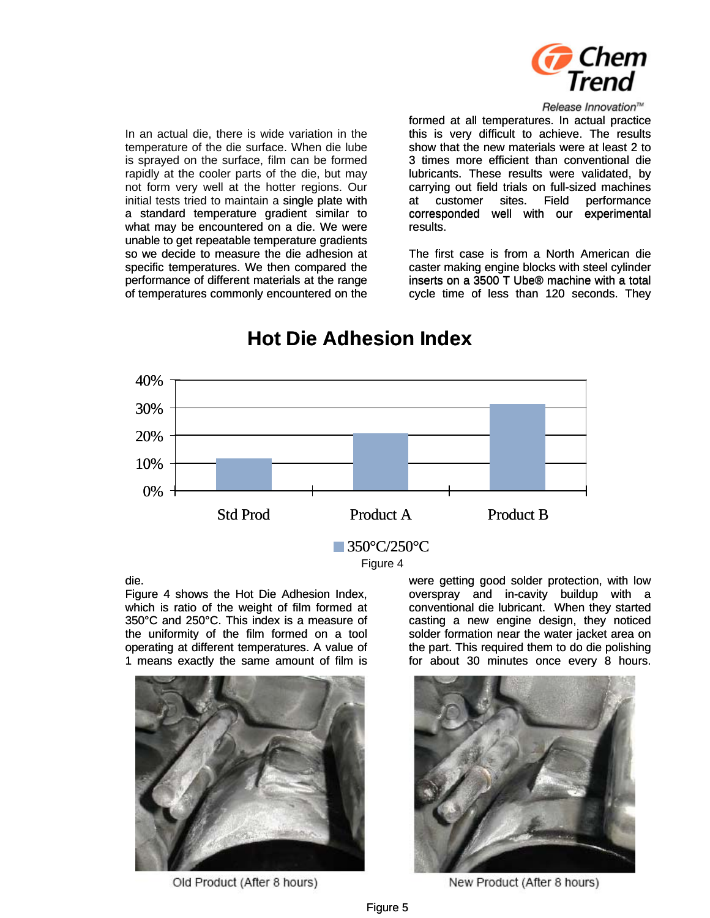

#### Release Innovation™

rapidly at the cooler parts of the die, but may not form very well at the hotter regions. Our In an actual die, there is wide variation in the temperature of the die surface. When die lube is sprayed on the surface, film can be formed initial tests tried to maintain a single plate with a standard temperature gradient similar to what may be encountered on a die. We were unable to get repeatable temperature gradients so we decide to measure the die adhesion at specific temperatures. We then compared the performance of different materials at the range of temperatures commonly encountered on the

formed at all temperatures. In actual practice this is very difficult to achieve. The results show that the new materials were at least 2 to 3 times more efficient than conventional die lubricants. These results were validated, by carrying out field trials on full-sized machines at customer sites. Field performance corresponded well with our experimental results.

cycle time of less than 120 seconds. They The first case is from a North American die caster making engine blocks with steel cylinder inserts on a 3500 T Ube® machine with a total



# **Hot Die Adhesion Index**

#### die.

operating at different temperatures. A value of Figure 4 shows the Hot Die Adhesion Index, which is ratio of the weight of film formed at 350°C and 250°C. This index is a measure of the uniformity of the film formed on a tool Figure 4 shows the Hot Die Adhesion Index,<br>which is ratio of the weight of film formed at<br>350°C and 250°C. This index is a measure of<br>the uniformity of the film formed on a tool<br>operating at different temperatures. A value



Old Product (After 8 hours)

were getting good solder protection, with low overspray and in-cavity buildup with a conventional die lubricant. When they started casting a new engine design, they noticed solder formation near the water jacket area on the part. This required them to do die polishing for about 30 minutes once every 8 hours.



New Product (After 8 hours)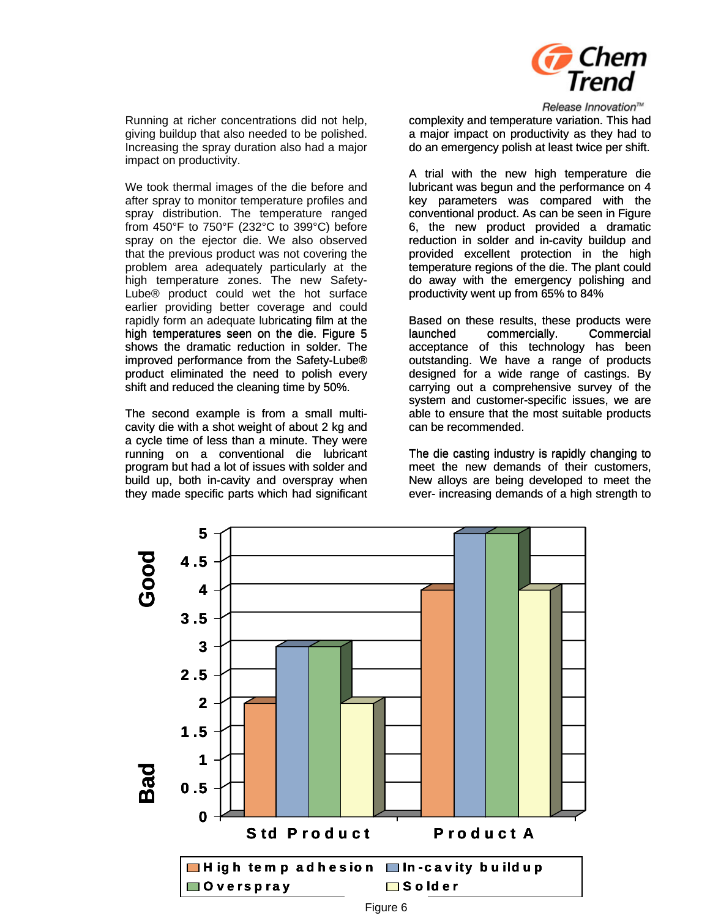

Running at richer concentrations did not help, giving buildup that also needed to be polished. Increasing the spray duration also had a major impact on productivity.

from 450°F to 750°F (232°C to 399°C) before spray on the ejector die. We also observed We took thermal images of the die before and after spray to monitor temperature profiles and spray distribution. The temperature ranged that the previous product was not covering the problem area adequately particularly at the high temperature zones. The new Safety-Lube® product could wet the hot surface earlier providing better coverage and could rapidly form an adequate lubricating film at the high temperatures seen on the die. Figure 5 shows the dramatic reduction in solder. The improved performance from the Safety-Lube® product eliminated the need to polish every shift and reduced the cleaning time by 50%.

running on a conventional die lubricant program but had a lot of issues with solder and The second example is from a small multicavity die with a shot weight of about 2 kg and a cycle time of less than a minute. They were build up, both in-cavity and overspray when they made specific parts which had significant

Release Innovation™ complexity and temperature variation. This had a major impact on productivity as they had to do an emergency polish at least twice per shift.

6, the new product provided a dramatic A trial with the new high temperature die lubricant was begun and the performance on 4 key parameters was compared with the conventional product. As can be seen in Figure reduction in solder and in-cavity buildup and provided excellent protection in the high temperature regions of the die. The plant could do away with the emergency polishing and productivity went up from 65% to 84%

outstanding. We have a range of products designed for a wide range of castings. By Based on these results, these products were launched commercially. Commercial acceptance of this technology has been carrying out a comprehensive survey of the system and customer-specific issues, we are able to ensure that the most suitable products can be recommended.

ever- increasing demands of a high strength to The die casting industry is rapidly changing to meet the new demands of their customers, New alloys are being developed to meet the